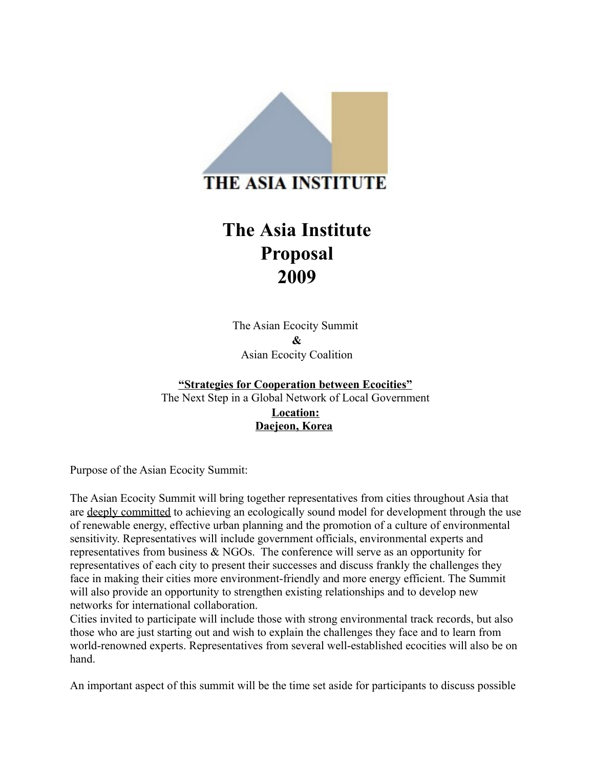

# **The Asia Institute Proposal 2009**

The Asian Ecocity Summit **&** Asian Ecocity Coalition

 **" Strategies for Cooperation between Ecocities"** The Next Step in a Global Network of Local Government **Location: Daejeon, Korea**

Purpose of the Asian Ecocity Summit:

The Asian Ecocity Summit will bring together representatives from cities throughout Asia that are deeply committed to achieving an ecologically sound model for development through the use of renewable energy, effective urban planning and the promotion of a culture of environmental sensitivity. Representatives will include government officials, environmental experts and representatives from business & NGOs. The conference will serve as an opportunity for representatives of each city to present their successes and discuss frankly the challenges they face in making their cities more environment-friendly and more energy efficient. The Summit will also provide an opportunity to strengthen existing relationships and to develop new networks for international collaboration.

Cities invited to participate will include those with strong environmental track records, but also those who are just starting out and wish to explain the challenges they face and to learn from world-renowned experts. Representatives from several well-established ecocities will also be on hand.

An important aspect of this summit will be the time set aside for participants to discuss possible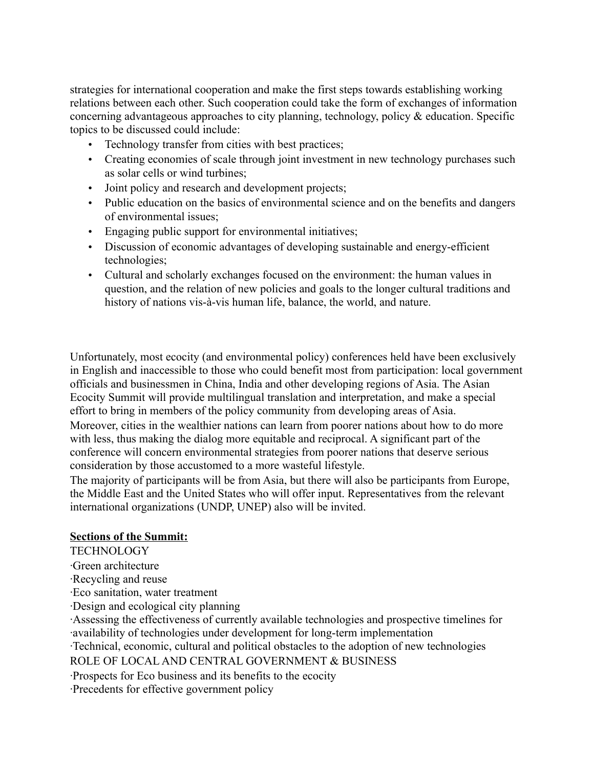strategies for international cooperation and make the first steps towards establishing working relations between each other. Such cooperation could take the form of exchanges of information concerning advantageous approaches to city planning, technology, policy & education. Specific topics to be discussed could include:

- Technology transfer from cities with best practices;
- Creating economies of scale through joint investment in new technology purchases such as solar cells or wind turbines;
- Joint policy and research and development projects;
- Public education on the basics of environmental science and on the benefits and dangers of environmental issues;
- Engaging public support for environmental initiatives;
- Discussion of economic advantages of developing sustainable and energy-efficient technologies;
- Cultural and scholarly exchanges focused on the environment: the human values in question, and the relation of new policies and goals to the longer cultural traditions and history of nations vis-à-vis human life, balance, the world, and nature.

Unfortunately, most ecocity (and environmental policy) conferences held have been exclusively in English and inaccessible to those who could benefit most from participation: local government officials and businessmen in China, India and other developing regions of Asia. The Asian Ecocity Summit will provide multilingual translation and interpretation, and make a special effort to bring in members of the policy community from developing areas of Asia.

Moreover, cities in the wealthier nations can learn from poorer nations about how to do more with less, thus making the dialog more equitable and reciprocal. A significant part of the conference will concern environmental strategies from poorer nations that deserve serious consideration by those accustomed to a more wasteful lifestyle.

The majority of participants will be from Asia, but there will also be participants from Europe, the Middle East and the United States who will offer input. Representatives from the relevant international organizations (UNDP, UNEP) also will be invited.

## **Sections of the Summit:**

TECHNOLOGY

- ∙Green architecture
- ∙Recycling and reuse
- ∙Eco sanitation, water treatment
- ∙Design and ecological city planning

∙Assessing the effectiveness of currently available technologies and prospective timelines for ∙availability of technologies under development for long-term implementation

∙Technical, economic, cultural and political obstacles to the adoption of new technologies

ROLE OF LOCAL AND CENTRAL GOVERNMENT & BUSINESS

∙Prospects for Eco business and its benefits to the ecocity

∙Precedents for effective government policy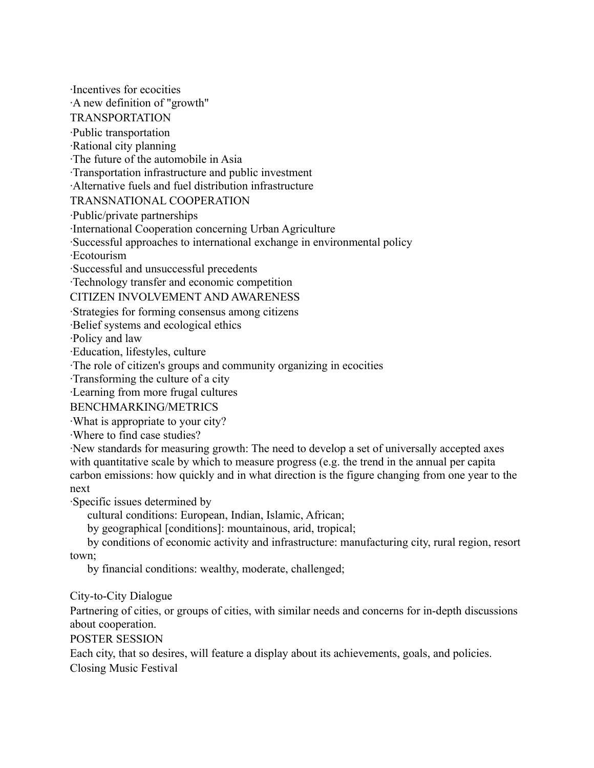∙Incentives for ecocities ∙A new definition of "growth" TRANSPORTATION ∙Public transportation ∙Rational city planning ∙The future of the automobile in Asia ∙Transportation infrastructure and public investment ∙Alternative fuels and fuel distribution infrastructure TRANSNATIONAL COOPERATION ∙Public/private partnerships ∙International Cooperation concerning Urban Agriculture ∙Successful approaches to international exchange in environmental policy ∙Ecotourism ∙Successful and unsuccessful precedents ∙Technology transfer and economic competition CITIZEN INVOLVEMENT AND AWARENESS ∙Strategies for forming consensus among citizens ∙Belief systems and ecological ethics ∙Policy and law ∙Education, lifestyles, culture ∙The role of citizen's groups and community organizing in ecocities ∙Transforming the culture of a city ∙Learning from more frugal cultures BENCHMARKING/METRICS ∙What is appropriate to your city? ∙Where to find case studies? ∙New standards for measuring growth: The need to develop a set of universally accepted axes with quantitative scale by which to measure progress (e.g. the trend in the annual per capita carbon emissions: how quickly and in what direction is the figure changing from one year to the next ∙Specific issues determined by cultural conditions: European, Indian, Islamic, African; by geographical [conditions]: mountainous, arid, tropical; by conditions of economic activity and infrastructure: manufacturing city, rural region, resort town; by financial conditions: wealthy, moderate, challenged;

## City-to-City Dialogue

Partnering of cities, or groups of cities, with similar needs and concerns for in-depth discussions about cooperation.

POSTER SESSION

Each city, that so desires, will feature a display about its achievements, goals, and policies. Closing Music Festival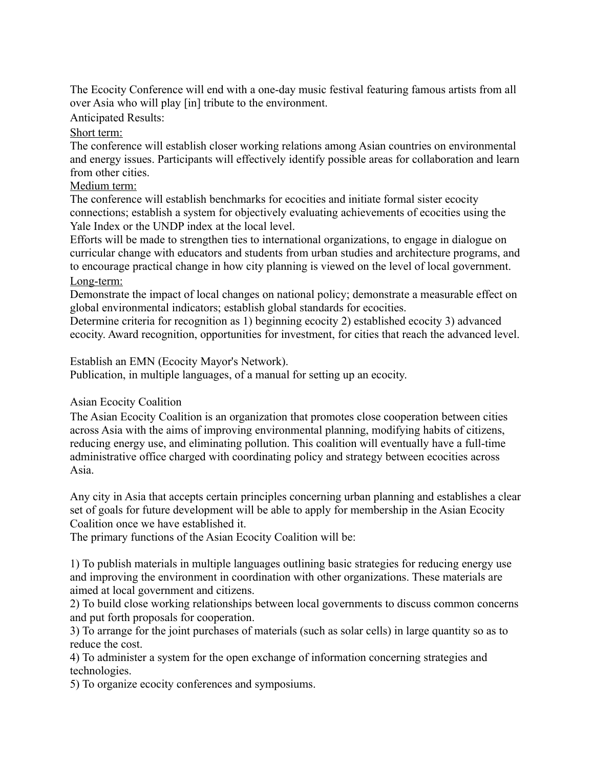The Ecocity Conference will end with a one-day music festival featuring famous artists from all over Asia who will play [in] tribute to the environment.

Anticipated Results:

Short term:

The conference will establish closer working relations among Asian countries on environmental and energy issues. Participants will effectively identify possible areas for collaboration and learn from other cities.

## Medium term:

The conference will establish benchmarks for ecocities and initiate formal sister ecocity connections; establish a system for objectively evaluating achievements of ecocities using the Yale Index or the UNDP index at the local level.

Efforts will be made to strengthen ties to international organizations, to engage in dialogue on curricular change with educators and students from urban studies and architecture programs, and to encourage practical change in how city planning is viewed on the level of local government.

## Long-term:

Demonstrate the impact of local changes on national policy; demonstrate a measurable effect on global environmental indicators; establish global standards for ecocities.

Determine criteria for recognition as 1) beginning ecocity 2) established ecocity 3) advanced ecocity. Award recognition, opportunities for investment, for cities that reach the advanced level.

Establish an EMN (Ecocity Mayor's Network).

Publication, in multiple languages, of a manual for setting up an ecocity.

## Asian Ecocity Coalition

The Asian Ecocity Coalition is an organization that promotes close cooperation between cities across Asia with the aims of improving environmental planning, modifying habits of citizens, reducing energy use, and eliminating pollution. This coalition will eventually have a full-time administrative office charged with coordinating policy and strategy between ecocities across Asia.

Any city in Asia that accepts certain principles concerning urban planning and establishes a clear set of goals for future development will be able to apply for membership in the Asian Ecocity Coalition once we have established it.

The primary functions of the Asian Ecocity Coalition will be:

1) To publish materials in multiple languages outlining basic strategies for reducing energy use and improving the environment in coordination with other organizations. These materials are aimed at local government and citizens.

2) To build close working relationships between local governments to discuss common concerns and put forth proposals for cooperation.

3) To arrange for the joint purchases of materials (such as solar cells) in large quantity so as to reduce the cost.

4) To administer a system for the open exchange of information concerning strategies and technologies.

5) To organize ecocity conferences and symposiums.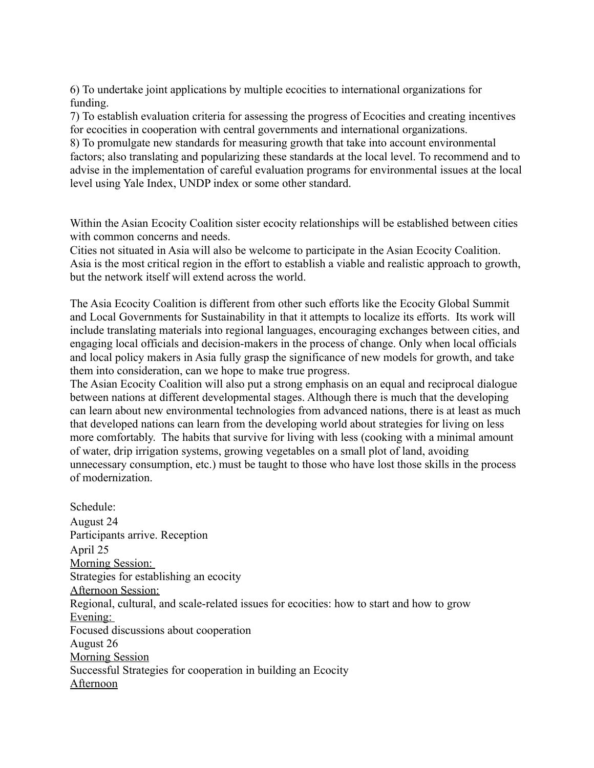6) To undertake joint applications by multiple ecocities to international organizations for funding.

7) To establish evaluation criteria for assessing the progress of Ecocities and creating incentives for ecocities in cooperation with central governments and international organizations.

8) To promulgate new standards for measuring growth that take into account environmental factors; also translating and popularizing these standards at the local level. To recommend and to advise in the implementation of careful evaluation programs for environmental issues at the local level using Yale Index, UNDP index or some other standard.

Within the Asian Ecocity Coalition sister ecocity relationships will be established between cities with common concerns and needs.

Cities not situated in Asia will also be welcome to participate in the Asian Ecocity Coalition. Asia is the most critical region in the effort to establish a viable and realistic approach to growth, but the network itself will extend across the world.

The Asia Ecocity Coalition is different from other such efforts like the Ecocity Global Summit and Local Governments for Sustainability in that it attempts to localize its efforts. Its work will include translating materials into regional languages, encouraging exchanges between cities, and engaging local officials and decision-makers in the process of change. Only when local officials and local policy makers in Asia fully grasp the significance of new models for growth, and take them into consideration, can we hope to make true progress.

The Asian Ecocity Coalition will also put a strong emphasis on an equal and reciprocal dialogue between nations at different developmental stages. Although there is much that the developing can learn about new environmental technologies from advanced nations, there is at least as much that developed nations can learn from the developing world about strategies for living on less more comfortably. The habits that survive for living with less (cooking with a minimal amount of water, drip irrigation systems, growing vegetables on a small plot of land, avoiding unnecessary consumption, etc.) must be taught to those who have lost those skills in the process of modernization.

Schedule: August 24 Participants arrive. Reception April 25 Morning Session: Strategies for establishing an ecocity Afternoon Session: Regional, cultural, and scale-related issues for ecocities: how to start and how to grow Evening: Focused discussions about cooperation August 26 Morning Session Successful Strategies for cooperation in building an Ecocity Afternoon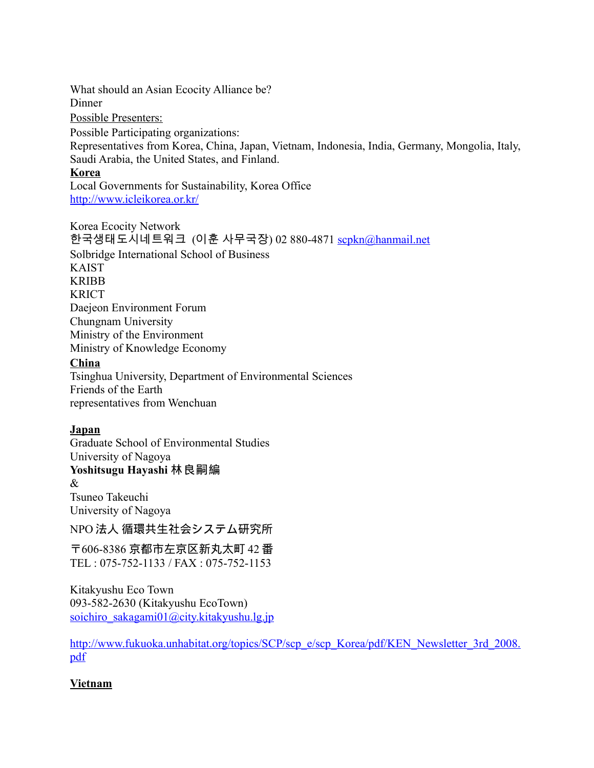What should an Asian Ecocity Alliance be? **Dinner** 

Possible Presenters:

Possible Participating organizations:

Representatives from Korea, China, Japan, Vietnam, Indonesia, India, Germany, Mongolia, Italy, Saudi Arabia, the United States, and Finland.

## **Korea**

Local Governments for Sustainability, Korea Office <http://www.icleikorea.or.kr/>

Korea Ecocity Network 한국생태도시네트워크 (이훈 사무국장) 02 880-4871 <u>scpkn@hanmail.net</u> Solbridge International School of Business **KAIST** KRIBB **KRICT** Daejeon Environment Forum Chungnam University Ministry of the Environment Ministry of Knowledge Economy **China**

Tsinghua University, Department of Environmental Sciences Friends of the Earth representatives from Wenchuan

# **Japan**

Graduate School of Environmental Studies University of Nagoya **Yoshitsugu Hayashi** 林良嗣編 &

Tsuneo Takeuchi University of Nagoya

NPO 法人 循環共生社会システム研究所

〒606-8386 京都市左京区新丸太町 42 番 TEL : 075-752-1133 / FAX : 075-752-1153

Kitakyushu Eco Town 093-582-2630 (Kitakyushu EcoTown) [soichiro\\_sakagami01@city.kitakyushu.lg.jp](mailto:soichiro_sakagami01@city.kitakyushu.lg.jp)

[http://www.fukuoka.unhabitat.org/topics/SCP/scp\\_e/scp\\_Korea/pdf/KEN\\_Newsletter\\_3rd\\_2008.](http://www.fukuoka.unhabitat.org/topics/SCP/scp_e/scp_Korea/pdf/KEN_Newsletter_3rd_2008.pdf) [pdf](http://www.fukuoka.unhabitat.org/topics/SCP/scp_e/scp_Korea/pdf/KEN_Newsletter_3rd_2008.pdf)

# **Vietnam**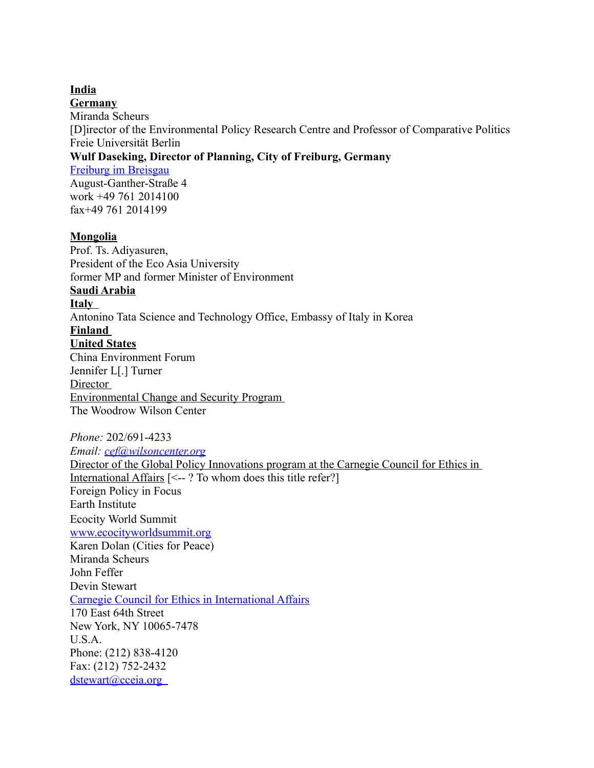#### **India**

**Germany** Miranda Scheurs [D]irector of the Environmental Policy Research Centre and Professor of Comparative Politics Freie Universität Berlin **Wulf Daseking, Director of Planning, City of Freiburg, Germany** [Freiburg im Breisgau](http://eng.archinform.net/ort/141.htm) August-Ganther-Straße 4

work +49 761 2014100 fax+49 761 2014199

#### **Mongolia**

Prof. Ts. Adiyasuren, President of the Eco Asia University former MP and former Minister of Environment **Saudi Arabia Italy**  Antonino Tata Science and Technology Office, Embassy of Italy in Korea **Finland United States** China Environment Forum Jennifer L[.] Turner Director Environmental Change and Security Program The Woodrow Wilson Center *Phone:* 202/691-4233 *Email: [cef@wilsoncenter.org](mailto:cef@wilsoncenter.org)* Director of the Global Policy Innovations program at the Carnegie Council for Ethics in International Affairs [<-- ? To whom does this title refer?] Foreign Policy in Focus Earth Institute Ecocity World Summit [www.ecocityworldsummit.org](http://www.ecocityworldsummit.org/) Karen Dolan (Cities for Peace) Miranda Scheurs John Feffer Devin Stewart [Carnegie Council for Ethics in International Affairs](http://www.policyinnovations.org/innovators/organizations/data/00042) 170 East 64th Street New York, NY 10065-7478

U.S.A. Phone: (212) 838-4120 Fax: (212) 752-2432 [dstewart@cceia.org](mailto:dstewart@cceia.org)